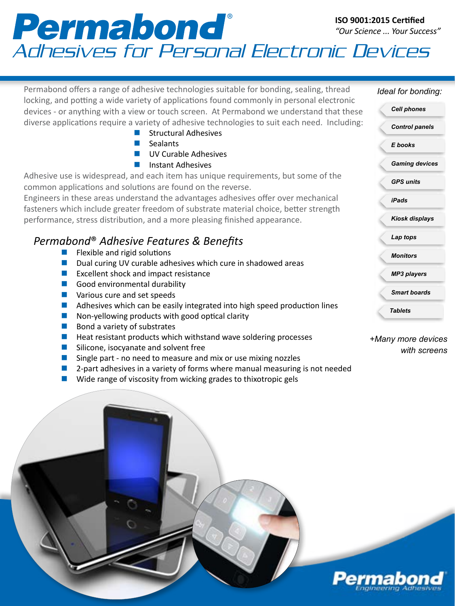## Adhesives for Personal Electronic Devices **ISO 9001:2015 Certified** *"Our Science ... Your Success"*

| Permabond offers a range of adhesive technologies suitable for bonding, sealing, thread                                                                                               | Ideal for bonding:                 |
|---------------------------------------------------------------------------------------------------------------------------------------------------------------------------------------|------------------------------------|
| locking, and potting a wide variety of applications found commonly in personal electronic<br>devices - or anything with a view or touch screen. At Permabond we understand that these | <b>Cell phones</b>                 |
| diverse applications require a variety of adhesive technologies to suit each need. Including:<br><b>Structural Adhesives</b>                                                          | <b>Control panels</b>              |
| Sealants<br><b>STAR</b><br><b>UV Curable Adhesives</b>                                                                                                                                | E books                            |
| <b>Instant Adhesives</b><br>a a                                                                                                                                                       | <b>Gaming devices</b>              |
| Adhesive use is widespread, and each item has unique requirements, but some of the<br>common applications and solutions are found on the reverse.                                     | <b>GPS units</b>                   |
| Engineers in these areas understand the advantages adhesives offer over mechanical                                                                                                    | <b>iPads</b>                       |
| fasteners which include greater freedom of substrate material choice, better strength<br>performance, stress distribution, and a more pleasing finished appearance.                   | <b>Kiosk displays</b>              |
| Permabond <sup>®</sup> Adhesive Features & Benefits                                                                                                                                   | Lap tops                           |
| Flexible and rigid solutions<br>Dual curing UV curable adhesives which cure in shadowed areas                                                                                         | <b>Monitors</b>                    |
| Excellent shock and impact resistance                                                                                                                                                 | <b>MP3 players</b>                 |
| Good environmental durability<br>Various cure and set speeds                                                                                                                          | <b>Smart boards</b>                |
| Adhesives which can be easily integrated into high speed production lines<br>Non-yellowing products with good optical clarity                                                         | <b>Tablets</b>                     |
| Bond a variety of substrates                                                                                                                                                          |                                    |
| Heat resistant products which withstand wave soldering processes<br>Silicone, isocyanate and solvent free<br>Single part - no need to measure and mix or use mixing nozzles           | +Many more devices<br>with screens |

- $\blacksquare$  2-part adhesives in a variety of forms where manual measuring is not needed
- $\blacksquare$  Wide range of viscosity from wicking grades to thixotropic gels